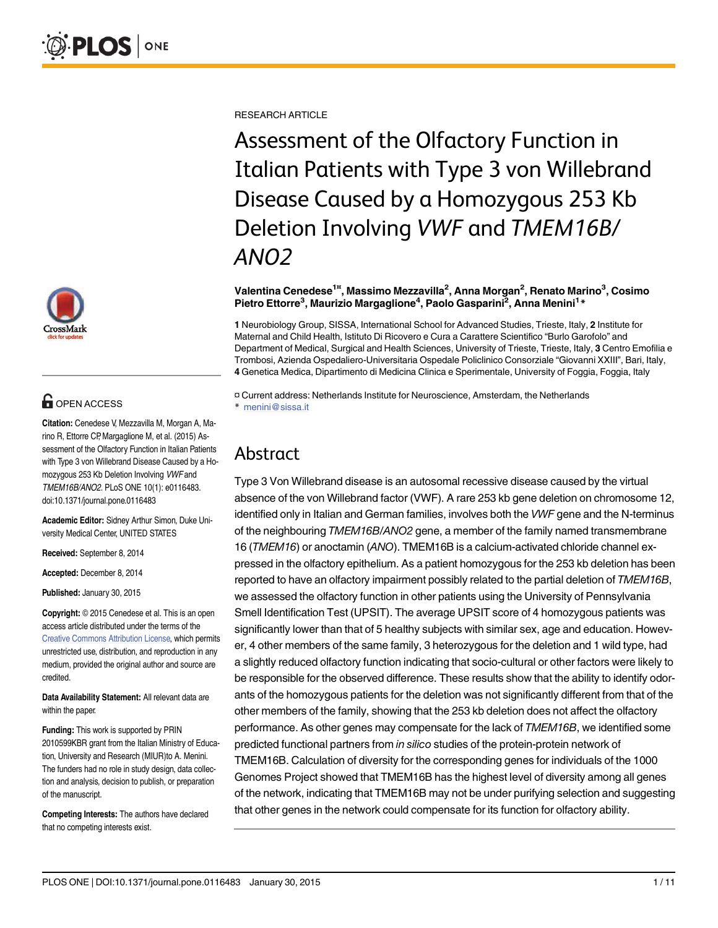

# **G** OPEN ACCESS

Citation: Cenedese V, Mezzavilla M, Morgan A, Marino R, Ettorre CP, Margaglione M, et al. (2015) Assessment of the Olfactory Function in Italian Patients with Type 3 von Willebrand Disease Caused by a Homozygous 253 Kb Deletion Involving VWF and TMEM16B/ANO2. PLoS ONE 10(1): e0116483. doi:10.1371/journal.pone.0116483

Academic Editor: Sidney Arthur Simon, Duke University Medical Center, UNITED STATES

Received: September 8, 2014

Accepted: December 8, 2014

Published: January 30, 2015

Copyright: © 2015 Cenedese et al. This is an open access article distributed under the terms of the [Creative Commons Attribution License](http://creativecommons.org/licenses/by/4.0/), which permits unrestricted use, distribution, and reproduction in any medium, provided the original author and source are credited.

Data Availability Statement: All relevant data are within the paper.

Funding: This work is supported by PRIN 2010599KBR grant from the Italian Ministry of Education, University and Research (MIUR)to A. Menini. The funders had no role in study design, data collection and analysis, decision to publish, or preparation of the manuscript.

Competing Interests: The authors have declared that no competing interests exist.

RESEARCH ARTICLE

Assessment of the Olfactory Function in Italian Patients with Type 3 von Willebrand Disease Caused by a Homozygous 253 Kb Deletion Involving VWF and TMEM16B/ ANO2

#### Valentina Cenedese<sup>1¤</sup>, Massimo Mezzavilla<sup>2</sup>, Anna Morgan<sup>2</sup>, Renato Marino<sup>3</sup>, Cosimo Pietro Ettorre<sup>3</sup>, Maurizio Margaglione<sup>4</sup>, Paolo Gasparini<sup>2</sup>, Anna Menini<sup>1</sup>\*

1 Neurobiology Group, SISSA, International School for Advanced Studies, Trieste, Italy, 2 Institute for Maternal and Child Health, Istituto Di Ricovero e Cura a Carattere Scientifico "Burlo Garofolo" and Department of Medical, Surgical and Health Sciences, University of Trieste, Trieste, Italy, 3 Centro Emofilia e Trombosi, Azienda Ospedaliero-Universitaria Ospedale Policlinico Consorziale "Giovanni XXIII", Bari, Italy, 4 Genetica Medica, Dipartimento di Medicina Clinica e Sperimentale, University of Foggia, Foggia, Italy

¤ Current address: Netherlands Institute for Neuroscience, Amsterdam, the Netherlands \* menini@sissa.it

## Abstract

Type 3 Von Willebrand disease is an autosomal recessive disease caused by the virtual absence of the von Willebrand factor (VWF). A rare 253 kb gene deletion on chromosome 12, identified only in Italian and German families, involves both the VWF gene and the N-terminus of the neighbouring TMEM16B/ANO2 gene, a member of the family named transmembrane 16 (TMEM16) or anoctamin (ANO). TMEM16B is a calcium-activated chloride channel expressed in the olfactory epithelium. As a patient homozygous for the 253 kb deletion has been reported to have an olfactory impairment possibly related to the partial deletion of TMEM16B, we assessed the olfactory function in other patients using the University of Pennsylvania Smell Identification Test (UPSIT). The average UPSIT score of 4 homozygous patients was significantly lower than that of 5 healthy subjects with similar sex, age and education. However, 4 other members of the same family, 3 heterozygous for the deletion and 1 wild type, had a slightly reduced olfactory function indicating that socio-cultural or other factors were likely to be responsible for the observed difference. These results show that the ability to identify odorants of the homozygous patients for the deletion was not significantly different from that of the other members of the family, showing that the 253 kb deletion does not affect the olfactory performance. As other genes may compensate for the lack of TMEM16B, we identified some predicted functional partners from in silico studies of the protein-protein network of TMEM16B. Calculation of diversity for the corresponding genes for individuals of the 1000 Genomes Project showed that TMEM16B has the highest level of diversity among all genes of the network, indicating that TMEM16B may not be under purifying selection and suggesting that other genes in the network could compensate for its function for olfactory ability.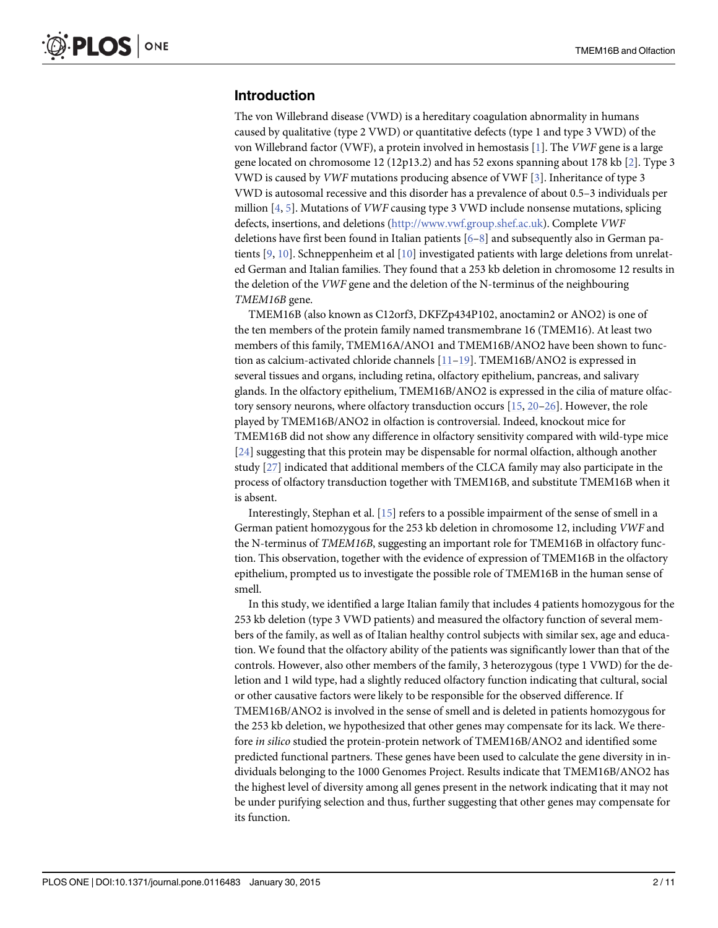## <span id="page-1-0"></span>Introduction

The von Willebrand disease (VWD) is a hereditary coagulation abnormality in humans caused by qualitative (type 2 VWD) or quantitative defects (type 1 and type 3 VWD) of the von Willebrand factor (VWF), a protein involved in hemostasis  $[1]$  $[1]$  $[1]$ . The VWF gene is a large gene located on chromosome 12 (12p13.2) and has 52 exons spanning about 178 kb [\[2\]](#page-8-0). Type 3 VWD is caused by VWF mutations producing absence of VWF [[3\]](#page-8-0). Inheritance of type 3 VWD is autosomal recessive and this disorder has a prevalence of about 0.5–3 individuals per million  $[4, 5]$  $[4, 5]$  $[4, 5]$  $[4, 5]$ . Mutations of *VWF* causing type 3 VWD include nonsense mutations, splicing defects, insertions, and deletions (<http://www.vwf.group.shef.ac.uk>). Complete VWF deletions have first been found in Italian patients  $[6-8]$  $[6-8]$  $[6-8]$  $[6-8]$  and subsequently also in German patients [[9](#page-9-0), [10](#page-9-0)]. Schneppenheim et al [\[10\]](#page-9-0) investigated patients with large deletions from unrelated German and Italian families. They found that a 253 kb deletion in chromosome 12 results in the deletion of the VWF gene and the deletion of the N-terminus of the neighbouring TMEM16B gene.

TMEM16B (also known as C12orf3, DKFZp434P102, anoctamin2 or ANO2) is one of the ten members of the protein family named transmembrane 16 (TMEM16). At least two members of this family, TMEM16A/ANO1 and TMEM16B/ANO2 have been shown to func-tion as calcium-activated chloride channels [\[11](#page-9-0)-[19\]](#page-9-0). TMEM16B/ANO2 is expressed in several tissues and organs, including retina, olfactory epithelium, pancreas, and salivary glands. In the olfactory epithelium, TMEM16B/ANO2 is expressed in the cilia of mature olfac-tory sensory neurons, where olfactory transduction occurs [[15](#page-9-0), [20](#page-9-0)-[26](#page-9-0)]. However, the role played by TMEM16B/ANO2 in olfaction is controversial. Indeed, knockout mice for TMEM16B did not show any difference in olfactory sensitivity compared with wild-type mice [\[24](#page-9-0)] suggesting that this protein may be dispensable for normal olfaction, although another study [\[27\]](#page-9-0) indicated that additional members of the CLCA family may also participate in the process of olfactory transduction together with TMEM16B, and substitute TMEM16B when it is absent.

Interestingly, Stephan et al.  $[15]$  refers to a possible impairment of the sense of smell in a German patient homozygous for the 253 kb deletion in chromosome 12, including VWF and the N-terminus of TMEM16B, suggesting an important role for TMEM16B in olfactory function. This observation, together with the evidence of expression of TMEM16B in the olfactory epithelium, prompted us to investigate the possible role of TMEM16B in the human sense of smell.

In this study, we identified a large Italian family that includes 4 patients homozygous for the 253 kb deletion (type 3 VWD patients) and measured the olfactory function of several members of the family, as well as of Italian healthy control subjects with similar sex, age and education. We found that the olfactory ability of the patients was significantly lower than that of the controls. However, also other members of the family, 3 heterozygous (type 1 VWD) for the deletion and 1 wild type, had a slightly reduced olfactory function indicating that cultural, social or other causative factors were likely to be responsible for the observed difference. If TMEM16B/ANO2 is involved in the sense of smell and is deleted in patients homozygous for the 253 kb deletion, we hypothesized that other genes may compensate for its lack. We therefore in silico studied the protein-protein network of TMEM16B/ANO2 and identified some predicted functional partners. These genes have been used to calculate the gene diversity in individuals belonging to the 1000 Genomes Project. Results indicate that TMEM16B/ANO2 has the highest level of diversity among all genes present in the network indicating that it may not be under purifying selection and thus, further suggesting that other genes may compensate for its function.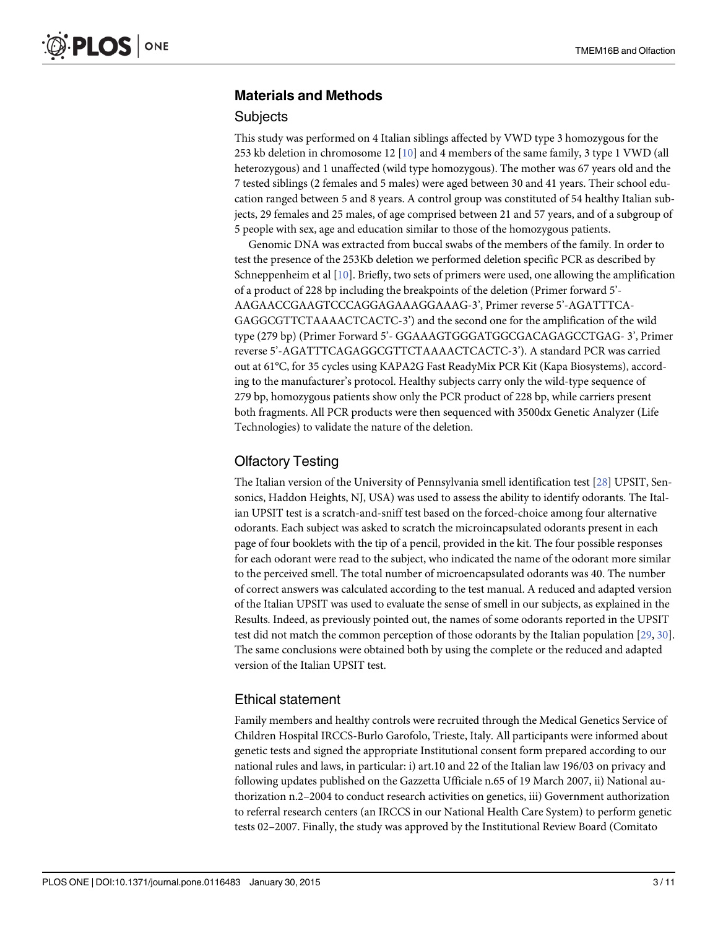## <span id="page-2-0"></span>Materials and Methods

#### **Subjects**

This study was performed on 4 Italian siblings affected by VWD type 3 homozygous for the 253 kb deletion in chromosome 12  $[10]$  $[10]$  and 4 members of the same family, 3 type 1 VWD (all heterozygous) and 1 unaffected (wild type homozygous). The mother was 67 years old and the 7 tested siblings (2 females and 5 males) were aged between 30 and 41 years. Their school education ranged between 5 and 8 years. A control group was constituted of 54 healthy Italian subjects, 29 females and 25 males, of age comprised between 21 and 57 years, and of a subgroup of 5 people with sex, age and education similar to those of the homozygous patients.

Genomic DNA was extracted from buccal swabs of the members of the family. In order to test the presence of the 253Kb deletion we performed deletion specific PCR as described by Schneppenheim et al [[10](#page-9-0)]. Briefly, two sets of primers were used, one allowing the amplification of a product of 228 bp including the breakpoints of the deletion (Primer forward 5'- AAGAACCGAAGTCCCAGGAGAAAGGAAAG-3', Primer reverse 5'-AGATTTCA-GAGGCGTTCTAAAACTCACTC-3') and the second one for the amplification of the wild type (279 bp) (Primer Forward 5'- GGAAAGTGGGATGGCGACAGAGCCTGAG- 3', Primer reverse 5'-AGATTTCAGAGGCGTTCTAAAACTCACTC-3'). A standard PCR was carried out at 61°C, for 35 cycles using KAPA2G Fast ReadyMix PCR Kit (Kapa Biosystems), according to the manufacturer's protocol. Healthy subjects carry only the wild-type sequence of 279 bp, homozygous patients show only the PCR product of 228 bp, while carriers present both fragments. All PCR products were then sequenced with 3500dx Genetic Analyzer (Life Technologies) to validate the nature of the deletion.

## Olfactory Testing

The Italian version of the University of Pennsylvania smell identification test [[28](#page-9-0)] UPSIT, Sensonics, Haddon Heights, NJ, USA) was used to assess the ability to identify odorants. The Italian UPSIT test is a scratch-and-sniff test based on the forced-choice among four alternative odorants. Each subject was asked to scratch the microincapsulated odorants present in each page of four booklets with the tip of a pencil, provided in the kit. The four possible responses for each odorant were read to the subject, who indicated the name of the odorant more similar to the perceived smell. The total number of microencapsulated odorants was 40. The number of correct answers was calculated according to the test manual. A reduced and adapted version of the Italian UPSIT was used to evaluate the sense of smell in our subjects, as explained in the Results. Indeed, as previously pointed out, the names of some odorants reported in the UPSIT test did not match the common perception of those odorants by the Italian population [\[29,](#page-10-0) [30\]](#page-10-0). The same conclusions were obtained both by using the complete or the reduced and adapted version of the Italian UPSIT test.

## Ethical statement

Family members and healthy controls were recruited through the Medical Genetics Service of Children Hospital IRCCS-Burlo Garofolo, Trieste, Italy. All participants were informed about genetic tests and signed the appropriate Institutional consent form prepared according to our national rules and laws, in particular: i) art.10 and 22 of the Italian law 196/03 on privacy and following updates published on the Gazzetta Ufficiale n.65 of 19 March 2007, ii) National authorization n.2–2004 to conduct research activities on genetics, iii) Government authorization to referral research centers (an IRCCS in our National Health Care System) to perform genetic tests 02–2007. Finally, the study was approved by the Institutional Review Board (Comitato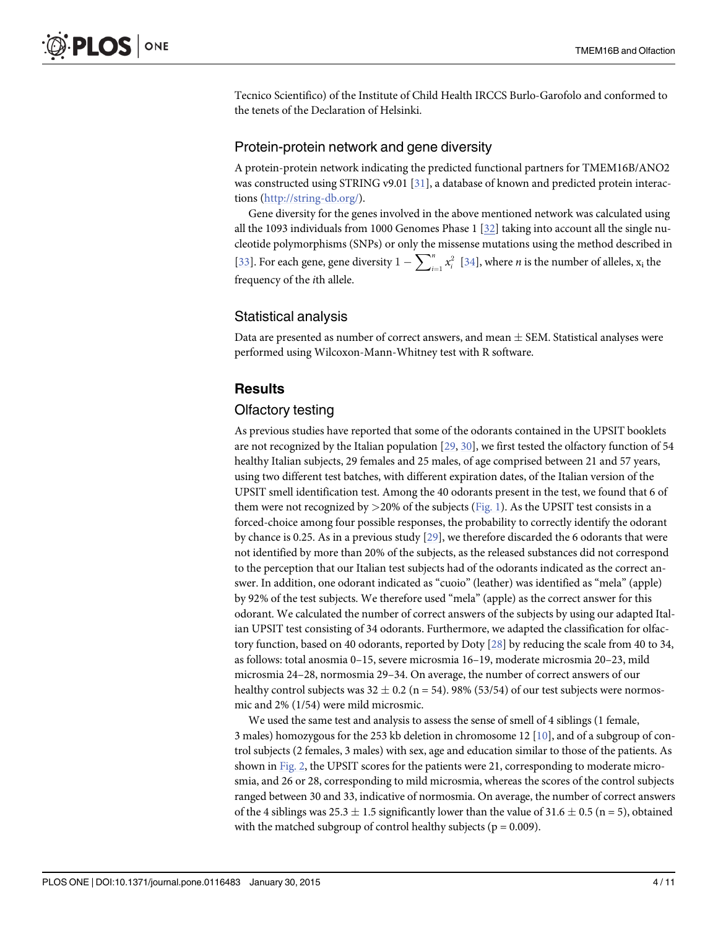<span id="page-3-0"></span>Tecnico Scientifico) of the Institute of Child Health IRCCS Burlo-Garofolo and conformed to the tenets of the Declaration of Helsinki.

#### Protein-protein network and gene diversity

A protein-protein network indicating the predicted functional partners for TMEM16B/ANO2 was constructed using STRING v9.01 [\[31](#page-10-0)], a database of known and predicted protein interactions [\(http://string-db.org/\)](http://string-db.org/).

Gene diversity for the genes involved in the above mentioned network was calculated using all the 1093 individuals from 1000 Genomes Phase 1 [[32](#page-10-0)] taking into account all the single nucleotide polymorphisms (SNPs) or only the missense mutations using the method described in [\[33](#page-10-0)]. For each gene, gene diversity  $1 - \sum_{i=1}^{n} x_i^2$  [[34\]](#page-10-0), where *n* is the number of alleles,  $x_i$  the frequency of the ith allele.

## Statistical analysis

Data are presented as number of correct answers, and mean  $\pm$  SEM. Statistical analyses were performed using Wilcoxon-Mann-Whitney test with R software.

## **Results**

#### Olfactory testing

As previous studies have reported that some of the odorants contained in the UPSIT booklets are not recognized by the Italian population [[29,](#page-10-0) [30\]](#page-10-0), we first tested the olfactory function of 54 healthy Italian subjects, 29 females and 25 males, of age comprised between 21 and 57 years, using two different test batches, with different expiration dates, of the Italian version of the UPSIT smell identification test. Among the 40 odorants present in the test, we found that 6 of them were not recognized by  $>$ 20% of the subjects ([Fig. 1](#page-4-0)). As the UPSIT test consists in a forced-choice among four possible responses, the probability to correctly identify the odorant by chance is 0.25. As in a previous study [\[29\]](#page-10-0), we therefore discarded the 6 odorants that were not identified by more than 20% of the subjects, as the released substances did not correspond to the perception that our Italian test subjects had of the odorants indicated as the correct answer. In addition, one odorant indicated as "cuoio" (leather) was identified as "mela" (apple) by 92% of the test subjects. We therefore used "mela" (apple) as the correct answer for this odorant. We calculated the number of correct answers of the subjects by using our adapted Italian UPSIT test consisting of 34 odorants. Furthermore, we adapted the classification for olfac-tory function, based on 40 odorants, reported by Doty [\[28\]](#page-9-0) by reducing the scale from 40 to 34, as follows: total anosmia 0–15, severe microsmia 16–19, moderate microsmia 20–23, mild microsmia 24–28, normosmia 29–34. On average, the number of correct answers of our healthy control subjects was  $32 \pm 0.2$  (n = 54). 98% (53/54) of our test subjects were normosmic and 2% (1/54) were mild microsmic.

We used the same test and analysis to assess the sense of smell of 4 siblings (1 female, 3 males) homozygous for the 253 kb deletion in chromosome 12  $[10]$  $[10]$  $[10]$ , and of a subgroup of control subjects (2 females, 3 males) with sex, age and education similar to those of the patients. As shown in [Fig. 2,](#page-5-0) the UPSIT scores for the patients were 21, corresponding to moderate microsmia, and 26 or 28, corresponding to mild microsmia, whereas the scores of the control subjects ranged between 30 and 33, indicative of normosmia. On average, the number of correct answers of the 4 siblings was  $25.3 \pm 1.5$  significantly lower than the value of  $31.6 \pm 0.5$  (n = 5), obtained with the matched subgroup of control healthy subjects ( $p = 0.009$ ).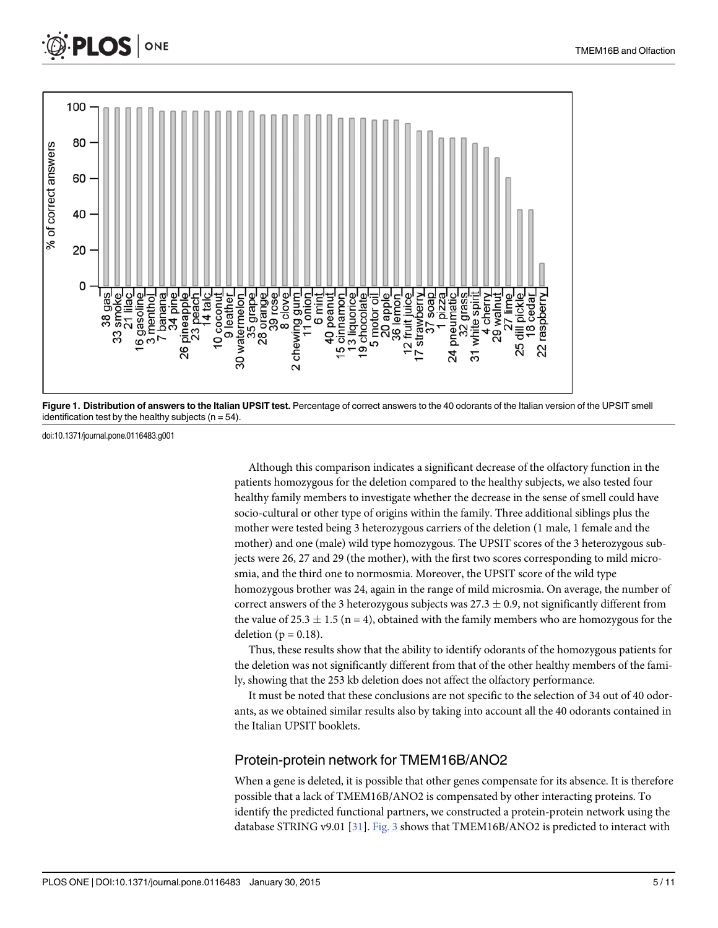<span id="page-4-0"></span>



doi:10.1371/journal.pone.0116483.g001

Although this comparison indicates a significant decrease of the olfactory function in the patients homozygous for the deletion compared to the healthy subjects, we also tested four healthy family members to investigate whether the decrease in the sense of smell could have socio-cultural or other type of origins within the family. Three additional siblings plus the mother were tested being 3 heterozygous carriers of the deletion (1 male, 1 female and the mother) and one (male) wild type homozygous. The UPSIT scores of the 3 heterozygous subjects were 26, 27 and 29 (the mother), with the first two scores corresponding to mild microsmia, and the third one to normosmia. Moreover, the UPSIT score of the wild type homozygous brother was 24, again in the range of mild microsmia. On average, the number of correct answers of the 3 heterozygous subjects was  $27.3 \pm 0.9$ , not significantly different from the value of 25.3  $\pm$  1.5 (n = 4), obtained with the family members who are homozygous for the deletion ( $p = 0.18$ ).

Thus, these results show that the ability to identify odorants of the homozygous patients for the deletion was not significantly different from that of the other healthy members of the family, showing that the 253 kb deletion does not affect the olfactory performance.

It must be noted that these conclusions are not specific to the selection of 34 out of 40 odorants, as we obtained similar results also by taking into account all the 40 odorants contained in the Italian UPSIT booklets.

#### Protein-protein network for TMEM16B/ANO2

When a gene is deleted, it is possible that other genes compensate for its absence. It is therefore possible that a lack of TMEM16B/ANO2 is compensated by other interacting proteins. To identify the predicted functional partners, we constructed a protein-protein network using the database STRING v9.01 [\[31\]](#page-10-0). [Fig. 3](#page-5-0) shows that TMEM16B/ANO2 is predicted to interact with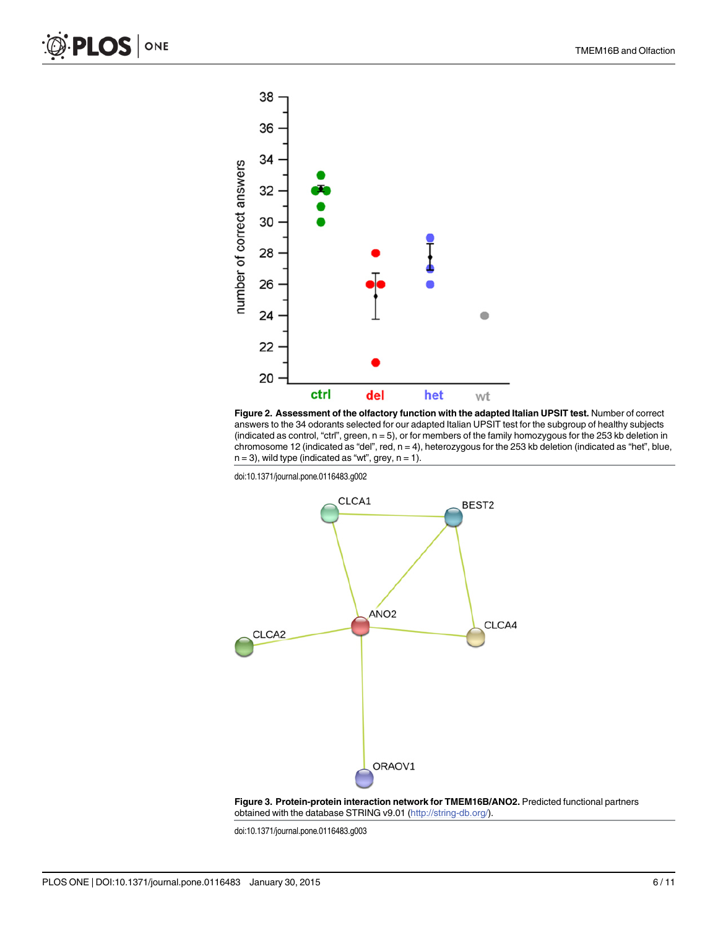<span id="page-5-0"></span>



doi:10.1371/journal.pone.0116483.g002



[Figure 3.](#page-4-0) Protein-protein interaction network for TMEM16B/ANO2. Predicted functional partners obtained with the database STRING v9.01 [\(http://string-db.org/](http://string-db.org/)).

doi:10.1371/journal.pone.0116483.g003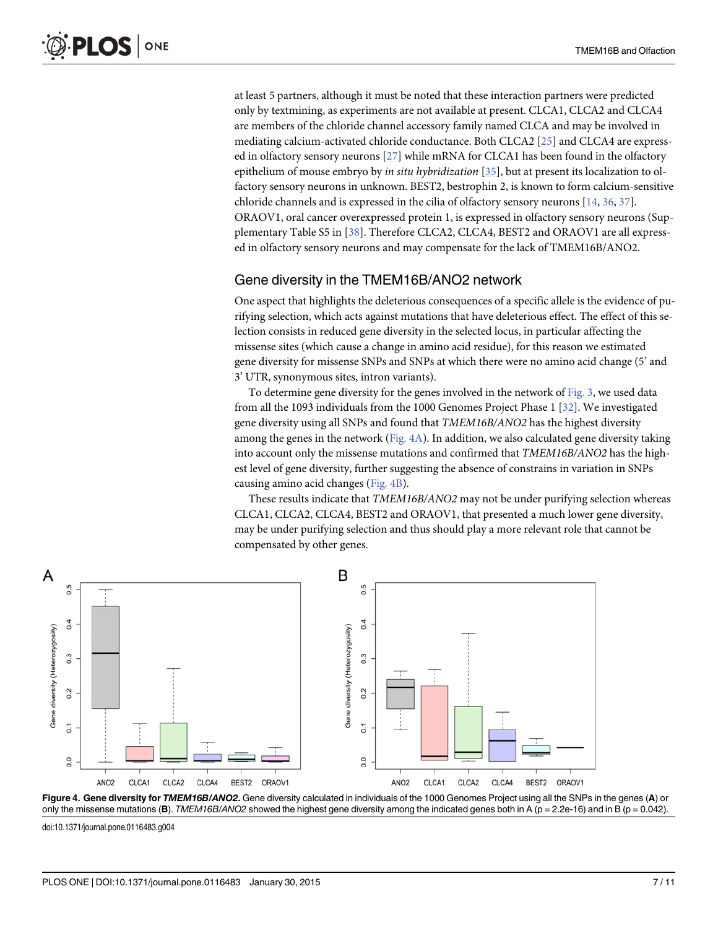<span id="page-6-0"></span>at least 5 partners, although it must be noted that these interaction partners were predicted only by textmining, as experiments are not available at present. CLCA1, CLCA2 and CLCA4 are members of the chloride channel accessory family named CLCA and may be involved in mediating calcium-activated chloride conductance. Both CLCA2 [[25](#page-9-0)] and CLCA4 are expressed in olfactory sensory neurons [[27](#page-9-0)] while mRNA for CLCA1 has been found in the olfactory epithelium of mouse embryo by in situ hybridization  $[35]$  $[35]$  $[35]$ , but at present its localization to olfactory sensory neurons in unknown. BEST2, bestrophin 2, is known to form calcium-sensitive chloride channels and is expressed in the cilia of olfactory sensory neurons [\[14,](#page-9-0) [36,](#page-10-0) [37\]](#page-10-0). ORAOV1, oral cancer overexpressed protein 1, is expressed in olfactory sensory neurons (Supplementary Table S5 in [\[38\]](#page-10-0). Therefore CLCA2, CLCA4, BEST2 and ORAOV1 are all expressed in olfactory sensory neurons and may compensate for the lack of TMEM16B/ANO2.

## Gene diversity in the TMEM16B/ANO2 network

One aspect that highlights the deleterious consequences of a specific allele is the evidence of purifying selection, which acts against mutations that have deleterious effect. The effect of this selection consists in reduced gene diversity in the selected locus, in particular affecting the missense sites (which cause a change in amino acid residue), for this reason we estimated gene diversity for missense SNPs and SNPs at which there were no amino acid change (5' and 3' UTR, synonymous sites, intron variants).

To determine gene diversity for the genes involved in the network of [Fig. 3,](#page-5-0) we used data from all the 1093 individuals from the 1000 Genomes Project Phase 1 [[32](#page-10-0)]. We investigated gene diversity using all SNPs and found that TMEM16B/ANO2 has the highest diversity among the genes in the network ( $Fig. 4A$ ). In addition, we also calculated gene diversity taking into account only the missense mutations and confirmed that TMEM16B/ANO2 has the highest level of gene diversity, further suggesting the absence of constrains in variation in SNPs causing amino acid changes (Fig. 4B).

These results indicate that TMEM16B/ANO2 may not be under purifying selection whereas CLCA1, CLCA2, CLCA4, BEST2 and ORAOV1, that presented a much lower gene diversity, may be under purifying selection and thus should play a more relevant role that cannot be compensated by other genes.





doi:10.1371/journal.pone.0116483.g004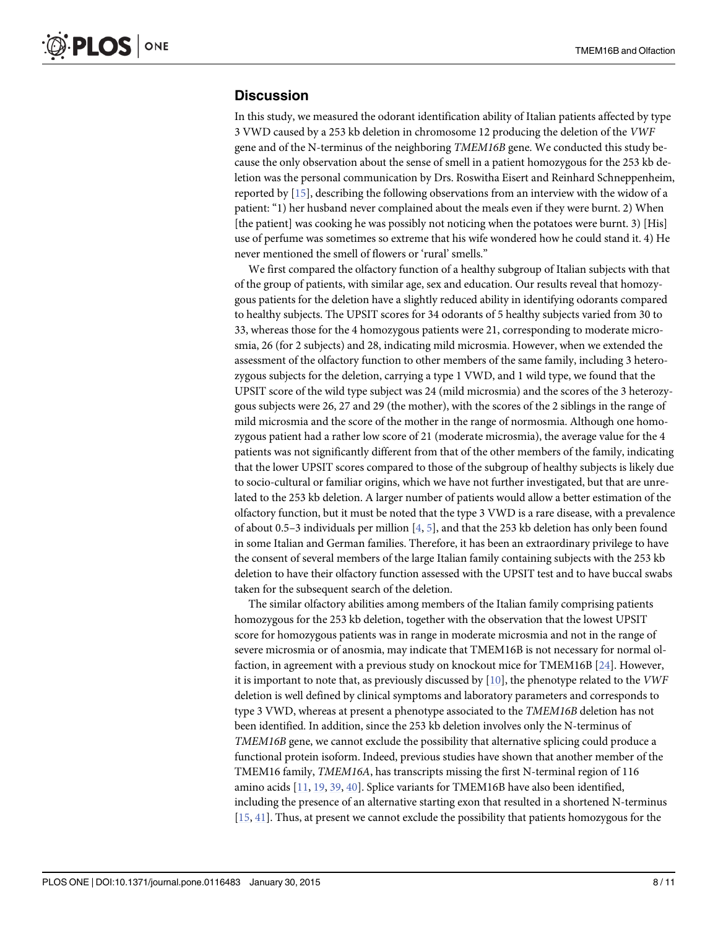#### <span id="page-7-0"></span>**Discussion**

In this study, we measured the odorant identification ability of Italian patients affected by type 3 VWD caused by a 253 kb deletion in chromosome 12 producing the deletion of the VWF gene and of the N-terminus of the neighboring TMEM16B gene. We conducted this study because the only observation about the sense of smell in a patient homozygous for the 253 kb deletion was the personal communication by Drs. Roswitha Eisert and Reinhard Schneppenheim, reported by [[15](#page-9-0)], describing the following observations from an interview with the widow of a patient: "1) her husband never complained about the meals even if they were burnt. 2) When [the patient] was cooking he was possibly not noticing when the potatoes were burnt. 3) [His] use of perfume was sometimes so extreme that his wife wondered how he could stand it. 4) He never mentioned the smell of flowers or 'rural' smells."

We first compared the olfactory function of a healthy subgroup of Italian subjects with that of the group of patients, with similar age, sex and education. Our results reveal that homozygous patients for the deletion have a slightly reduced ability in identifying odorants compared to healthy subjects. The UPSIT scores for 34 odorants of 5 healthy subjects varied from 30 to 33, whereas those for the 4 homozygous patients were 21, corresponding to moderate microsmia, 26 (for 2 subjects) and 28, indicating mild microsmia. However, when we extended the assessment of the olfactory function to other members of the same family, including 3 heterozygous subjects for the deletion, carrying a type 1 VWD, and 1 wild type, we found that the UPSIT score of the wild type subject was 24 (mild microsmia) and the scores of the 3 heterozygous subjects were 26, 27 and 29 (the mother), with the scores of the 2 siblings in the range of mild microsmia and the score of the mother in the range of normosmia. Although one homozygous patient had a rather low score of 21 (moderate microsmia), the average value for the 4 patients was not significantly different from that of the other members of the family, indicating that the lower UPSIT scores compared to those of the subgroup of healthy subjects is likely due to socio-cultural or familiar origins, which we have not further investigated, but that are unrelated to the 253 kb deletion. A larger number of patients would allow a better estimation of the olfactory function, but it must be noted that the type 3 VWD is a rare disease, with a prevalence of about 0.5–3 individuals per million  $[4, 5]$  $[4, 5]$  $[4, 5]$  $[4, 5]$ , and that the 253 kb deletion has only been found in some Italian and German families. Therefore, it has been an extraordinary privilege to have the consent of several members of the large Italian family containing subjects with the 253 kb deletion to have their olfactory function assessed with the UPSIT test and to have buccal swabs taken for the subsequent search of the deletion.

The similar olfactory abilities among members of the Italian family comprising patients homozygous for the 253 kb deletion, together with the observation that the lowest UPSIT score for homozygous patients was in range in moderate microsmia and not in the range of severe microsmia or of anosmia, may indicate that TMEM16B is not necessary for normal olfaction, in agreement with a previous study on knockout mice for TMEM16B [[24](#page-9-0)]. However, it is important to note that, as previously discussed by  $[10]$  $[10]$  $[10]$ , the phenotype related to the *VWF* deletion is well defined by clinical symptoms and laboratory parameters and corresponds to type 3 VWD, whereas at present a phenotype associated to the TMEM16B deletion has not been identified. In addition, since the 253 kb deletion involves only the N-terminus of TMEM16B gene, we cannot exclude the possibility that alternative splicing could produce a functional protein isoform. Indeed, previous studies have shown that another member of the TMEM16 family, TMEM16A, has transcripts missing the first N-terminal region of 116 amino acids [\[11,](#page-9-0) [19,](#page-9-0) [39,](#page-10-0) [40\]](#page-10-0). Splice variants for TMEM16B have also been identified, including the presence of an alternative starting exon that resulted in a shortened N-terminus [\[15](#page-9-0), [41\]](#page-10-0). Thus, at present we cannot exclude the possibility that patients homozygous for the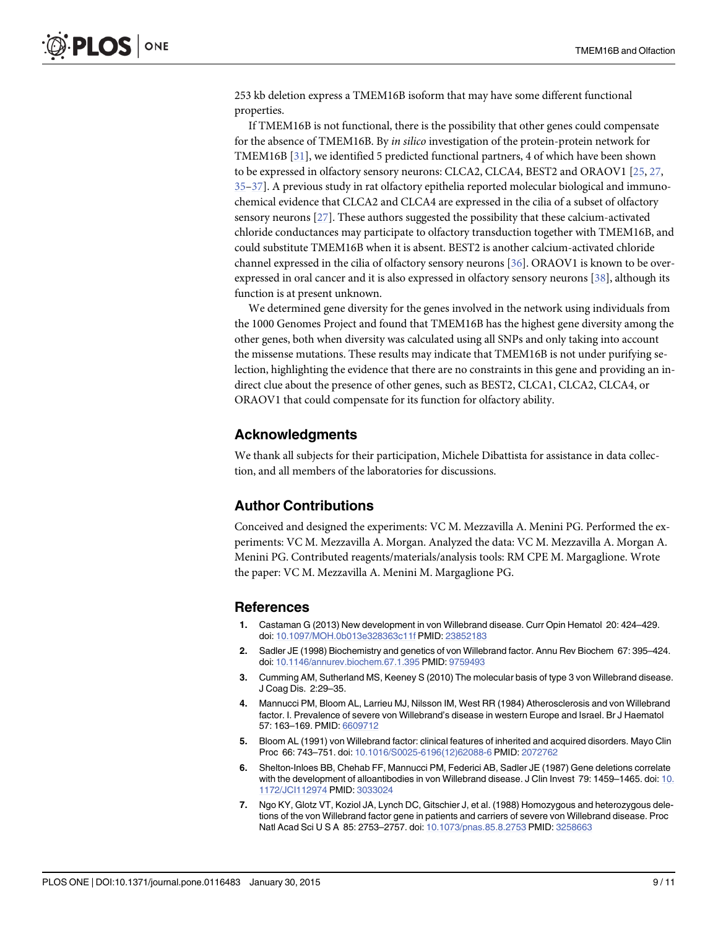<span id="page-8-0"></span>253 kb deletion express a TMEM16B isoform that may have some different functional properties.

If TMEM16B is not functional, there is the possibility that other genes could compensate for the absence of TMEM16B. By in silico investigation of the protein-protein network for TMEM16B [[31](#page-10-0)], we identified 5 predicted functional partners, 4 of which have been shown to be expressed in olfactory sensory neurons: CLCA2, CLCA4, BEST2 and ORAOV1 [\[25,](#page-9-0) [27,](#page-9-0) [35](#page-10-0)–[37](#page-10-0)]. A previous study in rat olfactory epithelia reported molecular biological and immunochemical evidence that CLCA2 and CLCA4 are expressed in the cilia of a subset of olfactory sensory neurons [\[27](#page-9-0)]. These authors suggested the possibility that these calcium-activated chloride conductances may participate to olfactory transduction together with TMEM16B, and could substitute TMEM16B when it is absent. BEST2 is another calcium-activated chloride channel expressed in the cilia of olfactory sensory neurons [[36](#page-10-0)]. ORAOV1 is known to be overexpressed in oral cancer and it is also expressed in olfactory sensory neurons [\[38\]](#page-10-0), although its function is at present unknown.

We determined gene diversity for the genes involved in the network using individuals from the 1000 Genomes Project and found that TMEM16B has the highest gene diversity among the other genes, both when diversity was calculated using all SNPs and only taking into account the missense mutations. These results may indicate that TMEM16B is not under purifying selection, highlighting the evidence that there are no constraints in this gene and providing an indirect clue about the presence of other genes, such as BEST2, CLCA1, CLCA2, CLCA4, or ORAOV1 that could compensate for its function for olfactory ability.

#### Acknowledgments

We thank all subjects for their participation, Michele Dibattista for assistance in data collection, and all members of the laboratories for discussions.

#### Author Contributions

Conceived and designed the experiments: VC M. Mezzavilla A. Menini PG. Performed the experiments: VC M. Mezzavilla A. Morgan. Analyzed the data: VC M. Mezzavilla A. Morgan A. Menini PG. Contributed reagents/materials/analysis tools: RM CPE M. Margaglione. Wrote the paper: VC M. Mezzavilla A. Menini M. Margaglione PG.

#### References

- [1.](#page-1-0) Castaman G (2013) New development in von Willebrand disease. Curr Opin Hematol 20: 424–429. doi: [10.1097/MOH.0b013e328363c11f](http://dx.doi.org/10.1097/MOH.0b013e328363c11f) PMID: [23852183](http://www.ncbi.nlm.nih.gov/pubmed/23852183)
- [2.](#page-1-0) Sadler JE (1998) Biochemistry and genetics of von Willebrand factor. Annu Rev Biochem 67: 395–424. doi: [10.1146/annurev.biochem.67.1.395](http://dx.doi.org/10.1146/annurev.biochem.67.1.395) PMID: [9759493](http://www.ncbi.nlm.nih.gov/pubmed/9759493)
- [3.](#page-1-0) Cumming AM, Sutherland MS, Keeney S (2010) The molecular basis of type 3 von Willebrand disease. J Coag Dis. 2:29–35.
- [4.](#page-1-0) Mannucci PM, Bloom AL, Larrieu MJ, Nilsson IM, West RR (1984) Atherosclerosis and von Willebrand factor. I. Prevalence of severe von Willebrand's disease in western Europe and Israel. Br J Haematol 57: 163–169. PMID: [6609712](http://www.ncbi.nlm.nih.gov/pubmed/6609712)
- [5.](#page-1-0) Bloom AL (1991) von Willebrand factor: clinical features of inherited and acquired disorders. Mayo Clin Proc 66: 743–751. doi: [10.1016/S0025-6196\(12\)62088-6](http://dx.doi.org/10.1016/S0025-6196(12)62088-6) PMID: [2072762](http://www.ncbi.nlm.nih.gov/pubmed/2072762)
- [6.](#page-1-0) Shelton-Inloes BB, Chehab FF, Mannucci PM, Federici AB, Sadler JE (1987) Gene deletions correlate with the development of alloantibodies in von Willebrand disease. J Clin Invest 79: 1459–1465. doi: [10.](http://dx.doi.org/10.1172/JCI112974) [1172/JCI112974](http://dx.doi.org/10.1172/JCI112974) PMID: [3033024](http://www.ncbi.nlm.nih.gov/pubmed/3033024)
- 7. Ngo KY, Glotz VT, Koziol JA, Lynch DC, Gitschier J, et al. (1988) Homozygous and heterozygous deletions of the von Willebrand factor gene in patients and carriers of severe von Willebrand disease. Proc Natl Acad Sci U S A 85: 2753–2757. doi: [10.1073/pnas.85.8.2753](http://dx.doi.org/10.1073/pnas.85.8.2753) PMID: [3258663](http://www.ncbi.nlm.nih.gov/pubmed/3258663)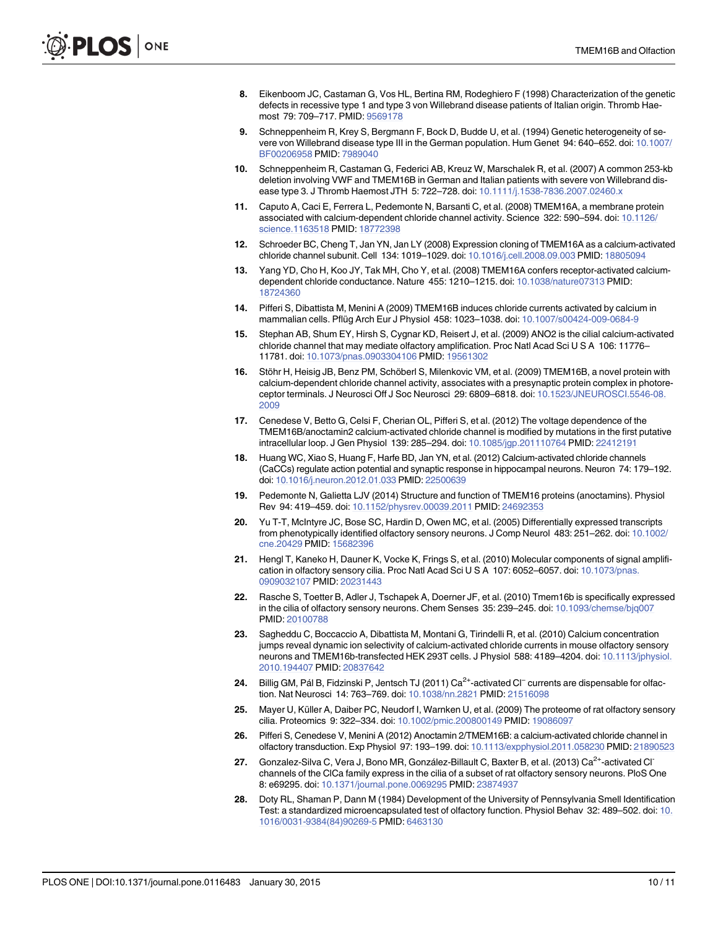- <span id="page-9-0"></span>[8.](#page-1-0) Eikenboom JC, Castaman G, Vos HL, Bertina RM, Rodeghiero F (1998) Characterization of the genetic defects in recessive type 1 and type 3 von Willebrand disease patients of Italian origin. Thromb Haemost 79: 709–717. PMID: [9569178](http://www.ncbi.nlm.nih.gov/pubmed/9569178)
- [9.](#page-1-0) Schneppenheim R, Krey S, Bergmann F, Bock D, Budde U, et al. (1994) Genetic heterogeneity of se-vere von Willebrand disease type III in the German population. Hum Genet 94: 640–652. doi: [10.1007/](http://dx.doi.org/10.1007/BF00206958) [BF00206958](http://dx.doi.org/10.1007/BF00206958) PMID: [7989040](http://www.ncbi.nlm.nih.gov/pubmed/7989040)
- [10.](#page-1-0) Schneppenheim R, Castaman G, Federici AB, Kreuz W, Marschalek R, et al. (2007) A common 253-kb deletion involving VWF and TMEM16B in German and Italian patients with severe von Willebrand disease type 3. J Thromb Haemost JTH 5: 722–728. doi: [10.1111/j.1538-7836.2007.02460.x](http://dx.doi.org/10.1111/j.1538-7836.2007.02460.x)
- [11.](#page-1-0) Caputo A, Caci E, Ferrera L, Pedemonte N, Barsanti C, et al. (2008) TMEM16A, a membrane protein associated with calcium-dependent chloride channel activity. Science 322: 590–594. doi: [10.1126/](http://dx.doi.org/10.1126/science.1163518) [science.1163518](http://dx.doi.org/10.1126/science.1163518) PMID: [18772398](http://www.ncbi.nlm.nih.gov/pubmed/18772398)
- 12. Schroeder BC, Cheng T, Jan YN, Jan LY (2008) Expression cloning of TMEM16A as a calcium-activated chloride channel subunit. Cell 134: 1019–1029. doi: [10.1016/j.cell.2008.09.003](http://dx.doi.org/10.1016/j.cell.2008.09.003) PMID: [18805094](http://www.ncbi.nlm.nih.gov/pubmed/18805094)
- 13. Yang YD, Cho H, Koo JY, Tak MH, Cho Y, et al. (2008) TMEM16A confers receptor-activated calciumdependent chloride conductance. Nature 455: 1210–1215. doi: [10.1038/nature07313](http://dx.doi.org/10.1038/nature07313) PMID: [18724360](http://www.ncbi.nlm.nih.gov/pubmed/18724360)
- [14.](#page-6-0) Pifferi S, Dibattista M, Menini A (2009) TMEM16B induces chloride currents activated by calcium in mammalian cells. Pflüg Arch Eur J Physiol 458: 1023–1038. doi: [10.1007/s00424-009-0684-9](http://dx.doi.org/10.1007/s00424-009-0684-9)
- [15.](#page-1-0) Stephan AB, Shum EY, Hirsh S, Cygnar KD, Reisert J, et al. (2009) ANO2 is the cilial calcium-activated chloride channel that may mediate olfactory amplification. Proc Natl Acad Sci U S A 106: 11776– 11781. doi: [10.1073/pnas.0903304106](http://dx.doi.org/10.1073/pnas.0903304106) PMID: [19561302](http://www.ncbi.nlm.nih.gov/pubmed/19561302)
- 16. Stöhr H, Heisig JB, Benz PM, Schöberl S, Milenkovic VM, et al. (2009) TMEM16B, a novel protein with calcium-dependent chloride channel activity, associates with a presynaptic protein complex in photoreceptor terminals. J Neurosci Off J Soc Neurosci 29: 6809–6818. doi: [10.1523/JNEUROSCI.5546-08.](http://dx.doi.org/10.1523/JNEUROSCI.5546-08.2009) [2009](http://dx.doi.org/10.1523/JNEUROSCI.5546-08.2009)
- 17. Cenedese V, Betto G, Celsi F, Cherian OL, Pifferi S, et al. (2012) The voltage dependence of the TMEM16B/anoctamin2 calcium-activated chloride channel is modified by mutations in the first putative intracellular loop. J Gen Physiol 139: 285–294. doi: [10.1085/jgp.201110764](http://dx.doi.org/10.1085/jgp.201110764) PMID: [22412191](http://www.ncbi.nlm.nih.gov/pubmed/22412191)
- 18. Huang WC, Xiao S, Huang F, Harfe BD, Jan YN, et al. (2012) Calcium-activated chloride channels (CaCCs) regulate action potential and synaptic response in hippocampal neurons. Neuron 74: 179–192. doi: [10.1016/j.neuron.2012.01.033](http://dx.doi.org/10.1016/j.neuron.2012.01.033) PMID: [22500639](http://www.ncbi.nlm.nih.gov/pubmed/22500639)
- [19.](#page-1-0) Pedemonte N, Galietta LJV (2014) Structure and function of TMEM16 proteins (anoctamins). Physiol Rev 94: 419–459. doi: [10.1152/physrev.00039.2011](http://dx.doi.org/10.1152/physrev.00039.2011) PMID: [24692353](http://www.ncbi.nlm.nih.gov/pubmed/24692353)
- [20.](#page-1-0) Yu T-T, McIntyre JC, Bose SC, Hardin D, Owen MC, et al. (2005) Differentially expressed transcripts from phenotypically identified olfactory sensory neurons. J Comp Neurol 483: 251–262. doi: [10.1002/](http://dx.doi.org/10.1002/cne.20429) [cne.20429](http://dx.doi.org/10.1002/cne.20429) PMID: [15682396](http://www.ncbi.nlm.nih.gov/pubmed/15682396)
- 21. Hengl T, Kaneko H, Dauner K, Vocke K, Frings S, et al. (2010) Molecular components of signal amplification in olfactory sensory cilia. Proc Natl Acad Sci U S A 107: 6052–6057. doi: [10.1073/pnas.](http://dx.doi.org/10.1073/pnas.0909032107) [0909032107](http://dx.doi.org/10.1073/pnas.0909032107) PMID: [20231443](http://www.ncbi.nlm.nih.gov/pubmed/20231443)
- 22. Rasche S, Toetter B, Adler J, Tschapek A, Doerner JF, et al. (2010) Tmem16b is specifically expressed in the cilia of olfactory sensory neurons. Chem Senses 35: 239–245. doi: [10.1093/chemse/bjq007](http://dx.doi.org/10.1093/chemse/bjq007) PMID: [20100788](http://www.ncbi.nlm.nih.gov/pubmed/20100788)
- 23. Sagheddu C, Boccaccio A, Dibattista M, Montani G, Tirindelli R, et al. (2010) Calcium concentration jumps reveal dynamic ion selectivity of calcium-activated chloride currents in mouse olfactory sensory neurons and TMEM16b-transfected HEK 293T cells. J Physiol 588: 4189–4204. doi: [10.1113/jphysiol.](http://dx.doi.org/10.1113/jphysiol.2010.194407) [2010.194407](http://dx.doi.org/10.1113/jphysiol.2010.194407) PMID: [20837642](http://www.ncbi.nlm.nih.gov/pubmed/20837642)
- [24.](#page-1-0) Billig GM, Pál B, Fidzinski P, Jentsch TJ (2011) Ca<sup>2+</sup>-activated Cl<sup>−</sup> currents are dispensable for olfac-tion. Nat Neurosci 14: 763-769. doi: [10.1038/nn.2821](http://dx.doi.org/10.1038/nn.2821) PMID: [21516098](http://www.ncbi.nlm.nih.gov/pubmed/21516098)
- [25.](#page-6-0) Mayer U, Küller A, Daiber PC, Neudorf I, Warnken U, et al. (2009) The proteome of rat olfactory sensory cilia. Proteomics 9: 322–334. doi: [10.1002/pmic.200800149](http://dx.doi.org/10.1002/pmic.200800149) PMID: [19086097](http://www.ncbi.nlm.nih.gov/pubmed/19086097)
- [26.](#page-1-0) Pifferi S, Cenedese V, Menini A (2012) Anoctamin 2/TMEM16B: a calcium-activated chloride channel in olfactory transduction. Exp Physiol 97: 193–199. doi: [10.1113/expphysiol.2011.058230](http://dx.doi.org/10.1113/expphysiol.2011.058230) PMID: [21890523](http://www.ncbi.nlm.nih.gov/pubmed/21890523)
- [27.](#page-1-0) Gonzalez-Silva C, Vera J, Bono MR, González-Billault C, Baxter B, et al. (2013) Ca<sup>2+</sup>-activated Cl<sup>-</sup> channels of the ClCa family express in the cilia of a subset of rat olfactory sensory neurons. PloS One 8: e69295. doi: [10.1371/journal.pone.0069295](http://dx.doi.org/10.1371/journal.pone.0069295) PMID: [23874937](http://www.ncbi.nlm.nih.gov/pubmed/23874937)
- [28.](#page-2-0) Doty RL, Shaman P, Dann M (1984) Development of the University of Pennsylvania Smell Identification Test: a standardized microencapsulated test of olfactory function. Physiol Behav 32: 489–502. doi: [10.](http://dx.doi.org/10.1016/0031-9384(84)90269-5) [1016/0031-9384\(84\)90269-5](http://dx.doi.org/10.1016/0031-9384(84)90269-5) PMID: [6463130](http://www.ncbi.nlm.nih.gov/pubmed/6463130)